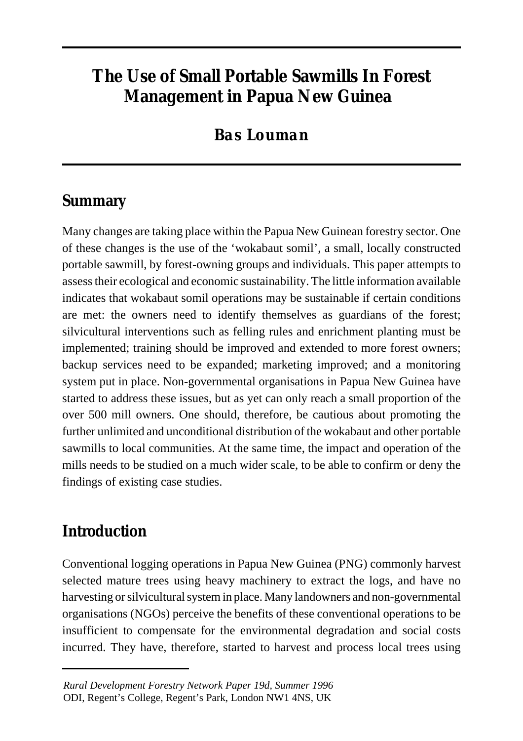# **The Use of Small Portable Sawmills In Forest Management in Papua New Guinea**

## *Bas Louman*

## **Summary**

Many changes are taking place within the Papua New Guinean forestry sector. One of these changes is the use of the 'wokabaut somil', a small, locally constructed portable sawmill, by forest-owning groups and individuals. This paper attempts to assess their ecological and economic sustainability. The little information available indicates that wokabaut somil operations may be sustainable if certain conditions are met: the owners need to identify themselves as guardians of the forest; silvicultural interventions such as felling rules and enrichment planting must be implemented; training should be improved and extended to more forest owners; backup services need to be expanded; marketing improved; and a monitoring system put in place. Non-governmental organisations in Papua New Guinea have started to address these issues, but as yet can only reach a small proportion of the over 500 mill owners. One should, therefore, be cautious about promoting the further unlimited and unconditional distribution of the wokabaut and other portable sawmills to local communities. At the same time, the impact and operation of the mills needs to be studied on a much wider scale, to be able to confirm or deny the findings of existing case studies.

## **Introduction**

Conventional logging operations in Papua New Guinea (PNG) commonly harvest selected mature trees using heavy machinery to extract the logs, and have no harvesting or silvicultural system in place. Many landowners and non-governmental organisations (NGOs) perceive the benefits of these conventional operations to be insufficient to compensate for the environmental degradation and social costs incurred. They have, therefore, started to harvest and process local trees using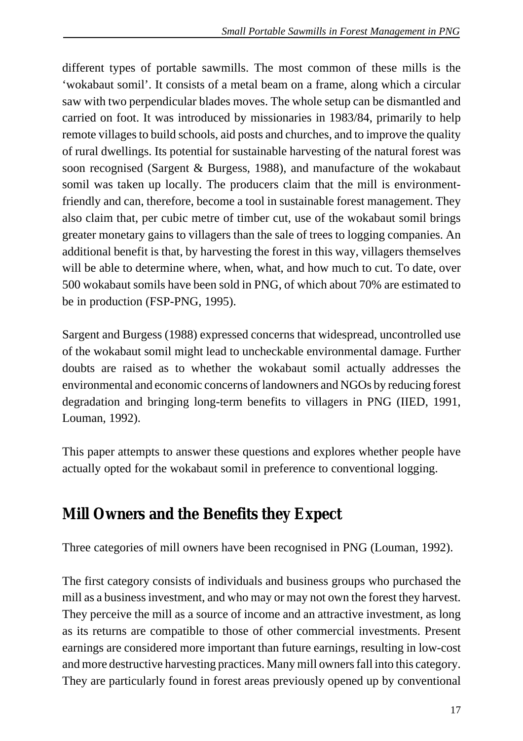different types of portable sawmills. The most common of these mills is the 'wokabaut somil'. It consists of a metal beam on a frame, along which a circular saw with two perpendicular blades moves. The whole setup can be dismantled and carried on foot. It was introduced by missionaries in 1983/84, primarily to help remote villages to build schools, aid posts and churches, and to improve the quality of rural dwellings. Its potential for sustainable harvesting of the natural forest was soon recognised (Sargent & Burgess, 1988), and manufacture of the wokabaut somil was taken up locally. The producers claim that the mill is environmentfriendly and can, therefore, become a tool in sustainable forest management. They also claim that, per cubic metre of timber cut, use of the wokabaut somil brings greater monetary gains to villagers than the sale of trees to logging companies. An additional benefit is that, by harvesting the forest in this way, villagers themselves will be able to determine where, when, what, and how much to cut. To date, over 500 wokabaut somils have been sold in PNG, of which about 70% are estimated to be in production (FSP-PNG, 1995).

Sargent and Burgess (1988) expressed concerns that widespread, uncontrolled use of the wokabaut somil might lead to uncheckable environmental damage. Further doubts are raised as to whether the wokabaut somil actually addresses the environmental and economic concerns of landowners and NGOs by reducing forest degradation and bringing long-term benefits to villagers in PNG (IIED, 1991, Louman, 1992).

This paper attempts to answer these questions and explores whether people have actually opted for the wokabaut somil in preference to conventional logging.

## **Mill Owners and the Benefits they Expect**

Three categories of mill owners have been recognised in PNG (Louman, 1992).

The first category consists of individuals and business groups who purchased the mill as a business investment, and who may or may not own the forest they harvest. They perceive the mill as a source of income and an attractive investment, as long as its returns are compatible to those of other commercial investments. Present earnings are considered more important than future earnings, resulting in low-cost and more destructive harvesting practices. Many mill owners fall into this category. They are particularly found in forest areas previously opened up by conventional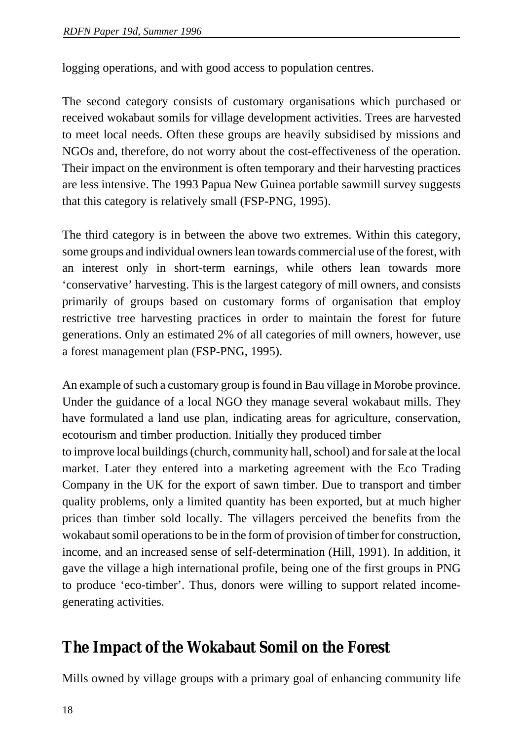logging operations, and with good access to population centres.

The second category consists of customary organisations which purchased or received wokabaut somils for village development activities. Trees are harvested to meet local needs. Often these groups are heavily subsidised by missions and NGOs and, therefore, do not worry about the cost-effectiveness of the operation. Their impact on the environment is often temporary and their harvesting practices are less intensive. The 1993 Papua New Guinea portable sawmill survey suggests that this category is relatively small (FSP-PNG, 1995).

The third category is in between the above two extremes. Within this category, some groups and individual owners lean towards commercial use of the forest, with an interest only in short-term earnings, while others lean towards more 'conservative' harvesting. This is the largest category of mill owners, and consists primarily of groups based on customary forms of organisation that employ restrictive tree harvesting practices in order to maintain the forest for future generations. Only an estimated 2% of all categories of mill owners, however, use a forest management plan (FSP-PNG, 1995).

An example of such a customary group is found in Bau village in Morobe province. Under the guidance of a local NGO they manage several wokabaut mills. They have formulated a land use plan, indicating areas for agriculture, conservation, ecotourism and timber production. Initially they produced timber

to improve local buildings (church, community hall, school) and for sale at the local market. Later they entered into a marketing agreement with the Eco Trading Company in the UK for the export of sawn timber. Due to transport and timber quality problems, only a limited quantity has been exported, but at much higher prices than timber sold locally. The villagers perceived the benefits from the wokabaut somil operations to be in the form of provision of timber for construction, income, and an increased sense of self-determination (Hill, 1991). In addition, it gave the village a high international profile, being one of the first groups in PNG to produce 'eco-timber'. Thus, donors were willing to support related incomegenerating activities.

### **The Impact of the Wokabaut Somil on the Forest**

Mills owned by village groups with a primary goal of enhancing community life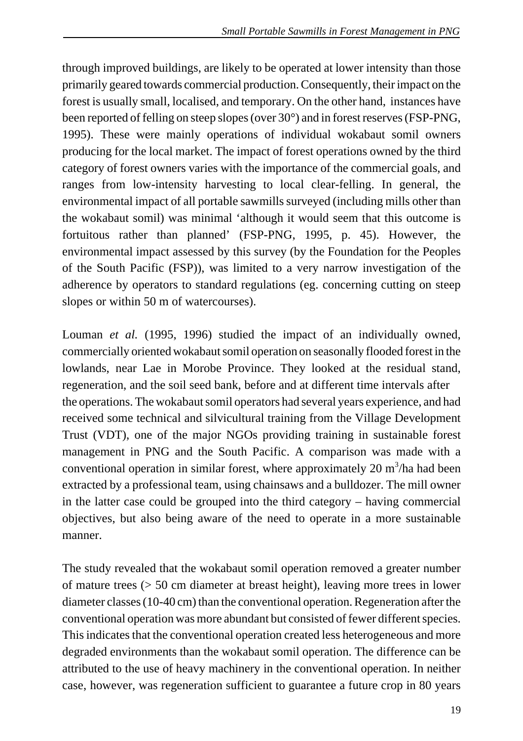through improved buildings, are likely to be operated at lower intensity than those primarily geared towards commercial production. Consequently, their impact on the forest is usually small, localised, and temporary. On the other hand, instances have been reported of felling on steep slopes (over 30°) and in forest reserves (FSP-PNG, 1995). These were mainly operations of individual wokabaut somil owners producing for the local market. The impact of forest operations owned by the third category of forest owners varies with the importance of the commercial goals, and ranges from low-intensity harvesting to local clear-felling. In general, the environmental impact of all portable sawmills surveyed (including mills other than the wokabaut somil) was minimal 'although it would seem that this outcome is fortuitous rather than planned' (FSP-PNG, 1995, p. 45). However, the environmental impact assessed by this survey (by the Foundation for the Peoples of the South Pacific (FSP)), was limited to a very narrow investigation of the adherence by operators to standard regulations (eg. concerning cutting on steep slopes or within 50 m of watercourses).

Louman *et al.* (1995, 1996) studied the impact of an individually owned, commercially oriented wokabaut somil operation on seasonally flooded forest in the lowlands, near Lae in Morobe Province. They looked at the residual stand, regeneration, and the soil seed bank, before and at different time intervals after the operations. The wokabaut somil operators had several years experience, and had received some technical and silvicultural training from the Village Development Trust (VDT), one of the major NGOs providing training in sustainable forest management in PNG and the South Pacific. A comparison was made with a conventional operation in similar forest, where approximately  $20 \text{ m}^3/\text{ha}$  had been extracted by a professional team, using chainsaws and a bulldozer. The mill owner in the latter case could be grouped into the third category – having commercial objectives, but also being aware of the need to operate in a more sustainable manner.

The study revealed that the wokabaut somil operation removed a greater number of mature trees (> 50 cm diameter at breast height), leaving more trees in lower diameter classes (10-40 cm) than the conventional operation. Regeneration after the conventional operation was more abundant but consisted of fewer different species. This indicates that the conventional operation created less heterogeneous and more degraded environments than the wokabaut somil operation. The difference can be attributed to the use of heavy machinery in the conventional operation. In neither case, however, was regeneration sufficient to guarantee a future crop in 80 years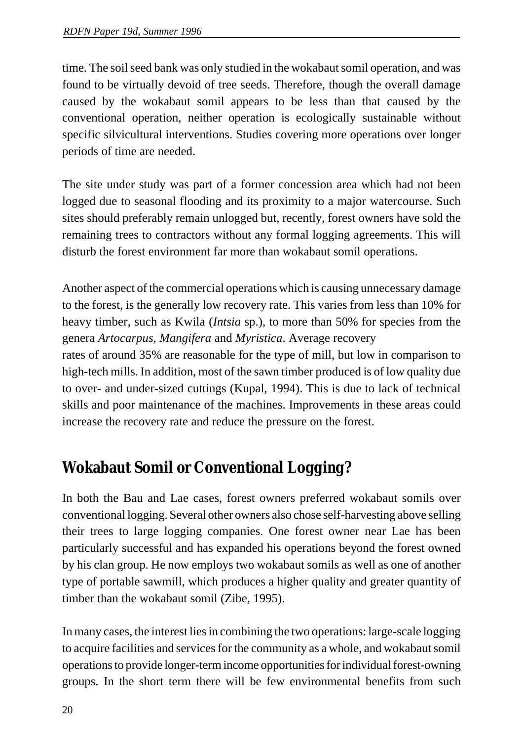time. The soil seed bank was only studied in the wokabaut somil operation, and was found to be virtually devoid of tree seeds. Therefore, though the overall damage caused by the wokabaut somil appears to be less than that caused by the conventional operation, neither operation is ecologically sustainable without specific silvicultural interventions. Studies covering more operations over longer periods of time are needed.

The site under study was part of a former concession area which had not been logged due to seasonal flooding and its proximity to a major watercourse. Such sites should preferably remain unlogged but, recently, forest owners have sold the remaining trees to contractors without any formal logging agreements. This will disturb the forest environment far more than wokabaut somil operations.

Another aspect of the commercial operations which is causing unnecessary damage to the forest, is the generally low recovery rate. This varies from less than 10% for heavy timber, such as Kwila (*Intsia* sp.), to more than 50% for species from the genera *Artocarpus, Mangifera* and *Myristica*. Average recovery

rates of around 35% are reasonable for the type of mill, but low in comparison to high-tech mills. In addition, most of the sawn timber produced is of low quality due to over- and under-sized cuttings (Kupal, 1994). This is due to lack of technical skills and poor maintenance of the machines. Improvements in these areas could increase the recovery rate and reduce the pressure on the forest.

## **Wokabaut Somil or Conventional Logging?**

In both the Bau and Lae cases, forest owners preferred wokabaut somils over conventional logging. Several other owners also chose self-harvesting above selling their trees to large logging companies. One forest owner near Lae has been particularly successful and has expanded his operations beyond the forest owned by his clan group. He now employs two wokabaut somils as well as one of another type of portable sawmill, which produces a higher quality and greater quantity of timber than the wokabaut somil (Zibe, 1995).

In many cases, the interest lies in combining the two operations: large-scale logging to acquire facilities and services for the community as a whole, and wokabaut somil operations to provide longer-term income opportunities for individual forest-owning groups. In the short term there will be few environmental benefits from such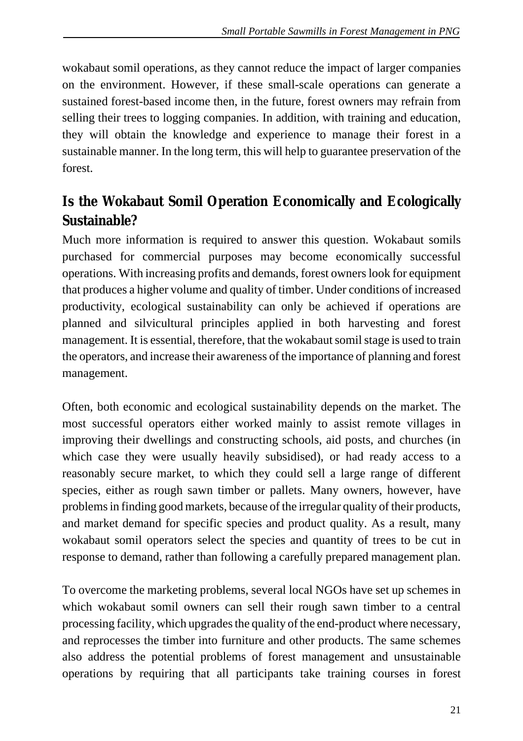wokabaut somil operations, as they cannot reduce the impact of larger companies on the environment. However, if these small-scale operations can generate a sustained forest-based income then, in the future, forest owners may refrain from selling their trees to logging companies. In addition, with training and education, they will obtain the knowledge and experience to manage their forest in a sustainable manner. In the long term, this will help to guarantee preservation of the forest.

## **Is the Wokabaut Somil Operation Economically and Ecologically Sustainable?**

Much more information is required to answer this question. Wokabaut somils purchased for commercial purposes may become economically successful operations. With increasing profits and demands, forest owners look for equipment that produces a higher volume and quality of timber. Under conditions of increased productivity, ecological sustainability can only be achieved if operations are planned and silvicultural principles applied in both harvesting and forest management. It is essential, therefore, that the wokabaut somil stage is used to train the operators, and increase their awareness of the importance of planning and forest management.

Often, both economic and ecological sustainability depends on the market. The most successful operators either worked mainly to assist remote villages in improving their dwellings and constructing schools, aid posts, and churches (in which case they were usually heavily subsidised), or had ready access to a reasonably secure market, to which they could sell a large range of different species, either as rough sawn timber or pallets. Many owners, however, have problems in finding good markets, because of the irregular quality of their products, and market demand for specific species and product quality. As a result, many wokabaut somil operators select the species and quantity of trees to be cut in response to demand, rather than following a carefully prepared management plan.

To overcome the marketing problems, several local NGOs have set up schemes in which wokabaut somil owners can sell their rough sawn timber to a central processing facility, which upgrades the quality of the end-product where necessary, and reprocesses the timber into furniture and other products. The same schemes also address the potential problems of forest management and unsustainable operations by requiring that all participants take training courses in forest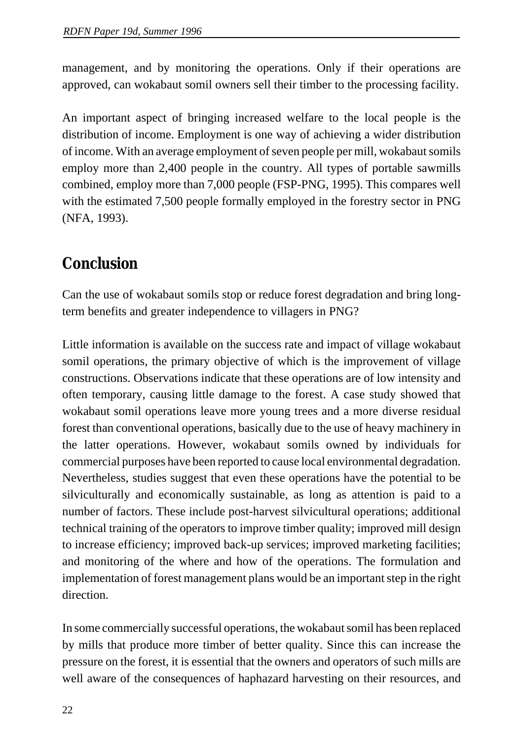management, and by monitoring the operations. Only if their operations are approved, can wokabaut somil owners sell their timber to the processing facility.

An important aspect of bringing increased welfare to the local people is the distribution of income. Employment is one way of achieving a wider distribution of income. With an average employment of seven people per mill, wokabaut somils employ more than 2,400 people in the country. All types of portable sawmills combined, employ more than 7,000 people (FSP-PNG, 1995). This compares well with the estimated 7,500 people formally employed in the forestry sector in PNG (NFA, 1993).

## **Conclusion**

Can the use of wokabaut somils stop or reduce forest degradation and bring longterm benefits and greater independence to villagers in PNG?

Little information is available on the success rate and impact of village wokabaut somil operations, the primary objective of which is the improvement of village constructions. Observations indicate that these operations are of low intensity and often temporary, causing little damage to the forest. A case study showed that wokabaut somil operations leave more young trees and a more diverse residual forest than conventional operations, basically due to the use of heavy machinery in the latter operations. However, wokabaut somils owned by individuals for commercial purposes have been reported to cause local environmental degradation. Nevertheless, studies suggest that even these operations have the potential to be silviculturally and economically sustainable, as long as attention is paid to a number of factors. These include post-harvest silvicultural operations; additional technical training of the operators to improve timber quality; improved mill design to increase efficiency; improved back-up services; improved marketing facilities; and monitoring of the where and how of the operations. The formulation and implementation of forest management plans would be an important step in the right direction.

In some commercially successful operations, the wokabaut somil has been replaced by mills that produce more timber of better quality. Since this can increase the pressure on the forest, it is essential that the owners and operators of such mills are well aware of the consequences of haphazard harvesting on their resources, and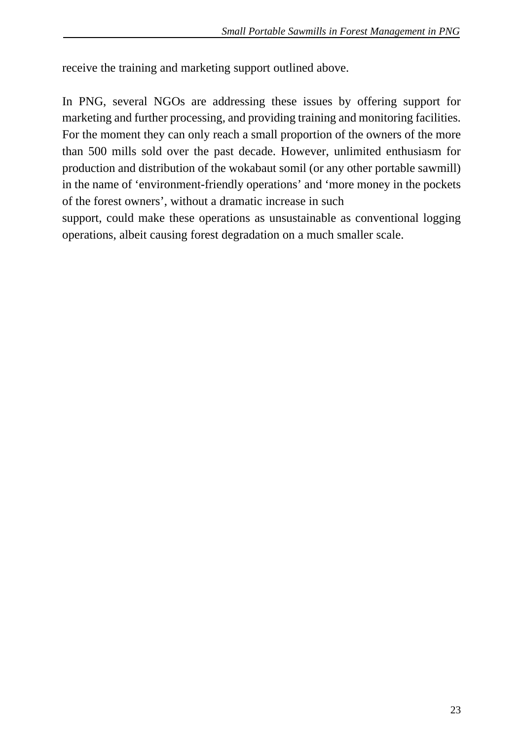receive the training and marketing support outlined above.

In PNG, several NGOs are addressing these issues by offering support for marketing and further processing, and providing training and monitoring facilities. For the moment they can only reach a small proportion of the owners of the more than 500 mills sold over the past decade. However, unlimited enthusiasm for production and distribution of the wokabaut somil (or any other portable sawmill) in the name of 'environment-friendly operations' and 'more money in the pockets of the forest owners', without a dramatic increase in such

support, could make these operations as unsustainable as conventional logging operations, albeit causing forest degradation on a much smaller scale.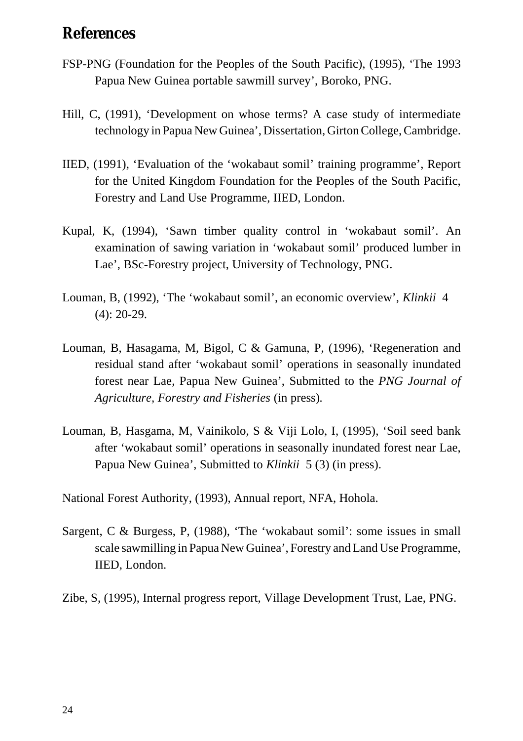### **References**

- FSP-PNG (Foundation for the Peoples of the South Pacific), (1995), 'The 1993 Papua New Guinea portable sawmill survey', Boroko, PNG.
- Hill, C, (1991), 'Development on whose terms? A case study of intermediate technology in Papua New Guinea', Dissertation, Girton College, Cambridge.
- IIED, (1991), 'Evaluation of the 'wokabaut somil' training programme', Report for the United Kingdom Foundation for the Peoples of the South Pacific, Forestry and Land Use Programme, IIED, London.
- Kupal, K, (1994), 'Sawn timber quality control in 'wokabaut somil'. An examination of sawing variation in 'wokabaut somil' produced lumber in Lae', BSc-Forestry project, University of Technology, PNG.
- Louman, B, (1992), 'The 'wokabaut somil', an economic overview', *Klinkii* 4 (4): 20-29.
- Louman, B, Hasagama, M, Bigol, C & Gamuna, P, (1996), 'Regeneration and residual stand after 'wokabaut somil' operations in seasonally inundated forest near Lae, Papua New Guinea', Submitted to the *PNG Journal of Agriculture, Forestry and Fisheries* (in press)*.*
- Louman, B, Hasgama, M, Vainikolo, S & Viji Lolo, I, (1995), 'Soil seed bank after 'wokabaut somil' operations in seasonally inundated forest near Lae, Papua New Guinea', Submitted to *Klinkii* 5 (3) (in press).
- National Forest Authority, (1993), Annual report, NFA, Hohola.
- Sargent, C & Burgess, P, (1988), 'The 'wokabaut somil': some issues in small scale sawmilling in Papua New Guinea', Forestry and Land Use Programme, IIED, London.
- Zibe, S, (1995), Internal progress report, Village Development Trust, Lae, PNG.